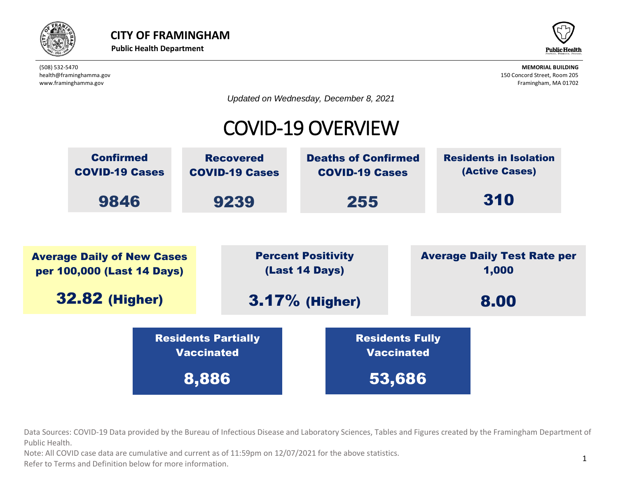



*Updated on Wednesday, December 8, 2021*

# COVID-19 OVERVIEW



beta provided by the Bureau of Infectious Disease and Laboratory Sciences, Tables and Fig. Data Sources: COVID-19 Data provided by the Bureau of Infectious Disease and Laboratory Sciences, Tables and Figures created by the Framingham Department of  $\overline{C}$ Public Health. Vaccinated Residents Partially IC Dureau Or innec

ote: All COVID case data are cumulative and current as of 11:59pm on 12/07/2021 for the above statistics. Note: All COVID case data are cumulative and current as of 11:59pm on 12/07/2021 for the above statistics.

normation. Refer to Terms and Definition below for more information.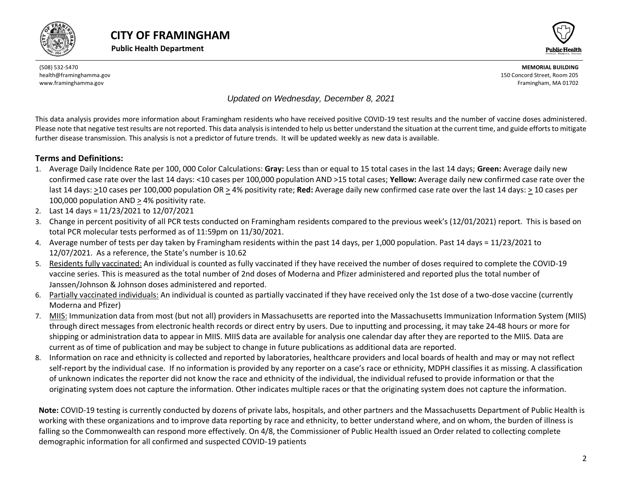





#### *Updated on Wednesday, December 8, 2021*

This data analysis provides more information about Framingham residents who have received positive COVID-19 test results and the number of vaccine doses administered. Please note that negative test results are not reported. This data analysis is intended to help us better understand the situation at the current time, and guide efforts to mitigate further disease transmission. This analysis is not a predictor of future trends. It will be updated weekly as new data is available.

#### **Terms and Definitions:**

- 1. Average Daily Incidence Rate per 100, 000 Color Calculations: **Gray:** Less than or equal to 15 total cases in the last 14 days; **Green:** Average daily new confirmed case rate over the last 14 days: <10 cases per 100,000 population AND >15 total cases; **Yellow:** Average daily new confirmed case rate over the last 14 days: >10 cases per 100,000 population OR > 4% positivity rate; **Red:** Average daily new confirmed case rate over the last 14 days: > 10 cases per 100,000 population AND > 4% positivity rate.
- 2. Last 14 days = 11/23/2021 to 12/07/2021
- 3. Change in percent positivity of all PCR tests conducted on Framingham residents compared to the previous week's (12/01/2021) report. This is based on total PCR molecular tests performed as of 11:59pm on 11/30/2021.
- 4. Average number of tests per day taken by Framingham residents within the past 14 days, per 1,000 population. Past 14 days = 11/23/2021 to 12/07/2021. As a reference, the State's number is 10.62
- 5. Residents fully vaccinated: An individual is counted as fully vaccinated if they have received the number of doses required to complete the COVID-19 vaccine series. This is measured as the total number of 2nd doses of Moderna and Pfizer administered and reported plus the total number of Janssen/Johnson & Johnson doses administered and reported.
- 6. Partially vaccinated individuals: An individual is counted as partially vaccinated if they have received only the 1st dose of a two-dose vaccine (currently Moderna and Pfizer)
- 7. MIIS: Immunization data from most (but not all) providers in Massachusetts are reported into the Massachusetts Immunization Information System (MIIS) through direct messages from electronic health records or direct entry by users. Due to inputting and processing, it may take 24-48 hours or more for shipping or administration data to appear in MIIS. MIIS data are available for analysis one calendar day after they are reported to the MIIS. Data are current as of time of publication and may be subject to change in future publications as additional data are reported.
- 8. Information on race and ethnicity is collected and reported by laboratories, healthcare providers and local boards of health and may or may not reflect self-report by the individual case. If no information is provided by any reporter on a case's race or ethnicity, MDPH classifies it as missing. A classification of unknown indicates the reporter did not know the race and ethnicity of the individual, the individual refused to provide information or that the originating system does not capture the information. Other indicates multiple races or that the originating system does not capture the information.

<span id="page-1-0"></span>**Note:** COVID-19 testing is currently conducted by dozens of private labs, hospitals, and other partners and the Massachusetts Department of Public Health is working with these organizations and to improve data reporting by race and ethnicity, to better understand where, and on whom, the burden of illness is falling so the Commonwealth can respond more effectively. On 4/8, the Commissioner of Public Health issued an Order related to collecting complete demographic information for all confirmed and suspected COVID-19 patients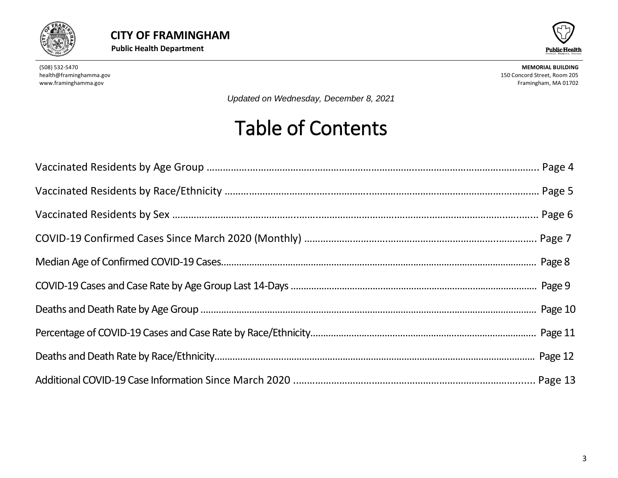



*Updated on Wednesday, December 8, 2021*

# Table of Contents

<span id="page-2-0"></span>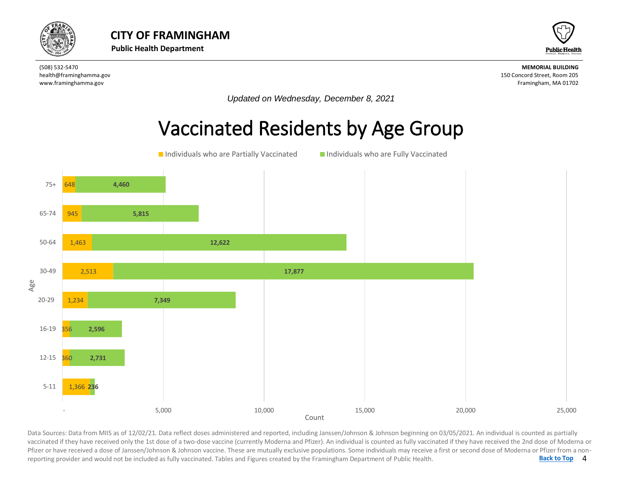



*Updated on Wednesday, December 8, 2021*

# Vaccinated Residents by Age Group



4 **[Back to Top](#page-1-0)** Data Sources: Data from MIIS as of 12/02/21. Data reflect doses administered and reported, including Janssen/Johnson & Johnson beginning on 03/05/2021. An individual is counted as partially<br>vaccinated if they have received Data Sources: Data from MIIS as of 12/02/21. Data reflect doses administered and reported, including Janssen/Johnson & Johnson beginning on 03/05/2021. An individual is counted as partially Pfizer or have received a dose of Janssen/Johnson & Johnson vaccine. These are mutually exclusive populations. Some individuals may receive a first or second dose of Moderna or Pfizer from a nonreporting provider and would not be included as fully vaccinated. Tables and Figures created by the Framingham Department of Public Health.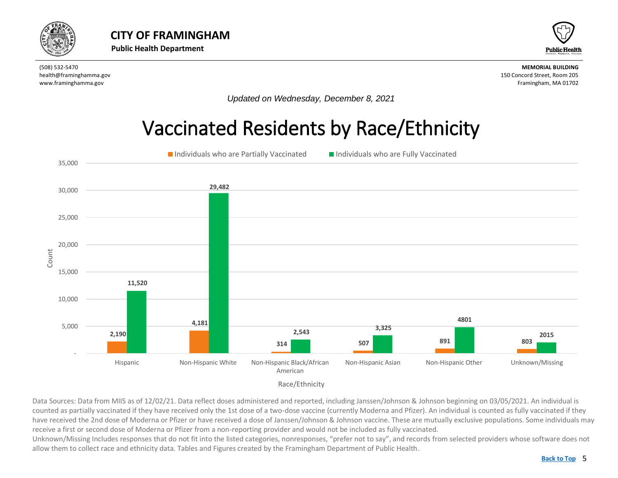<span id="page-4-0"></span>



*Updated on Wednesday, December 8, 2021*

# Vaccinated Residents by Race/Ethnicity



Data Sources: Data from MIIS as of 12/02/21. Data reflect doses administered and reported, including Janssen/Johnson & Johnson beginning on 03/05/2021. An individual is counted as partially vaccinated if they have received only the 1st dose of a two-dose vaccine (currently Moderna and Pfizer). An individual is counted as fully vaccinated if they have received the 2nd dose of Moderna or Pfizer or have received a dose of Janssen/Johnson & Johnson vaccine. These are mutually exclusive populations. Some individuals may receive a first or second dose of Moderna or Pfizer from a non-reporting provider and would not be included as fully vaccinated.

Unknown/Missing Includes responses that do not fit into the listed categories, nonresponses, "prefer not to say", and records from selected providers whose software does not allow them to collect race and ethnicity data. Tables and Figures created by the Framingham Department of Public Health.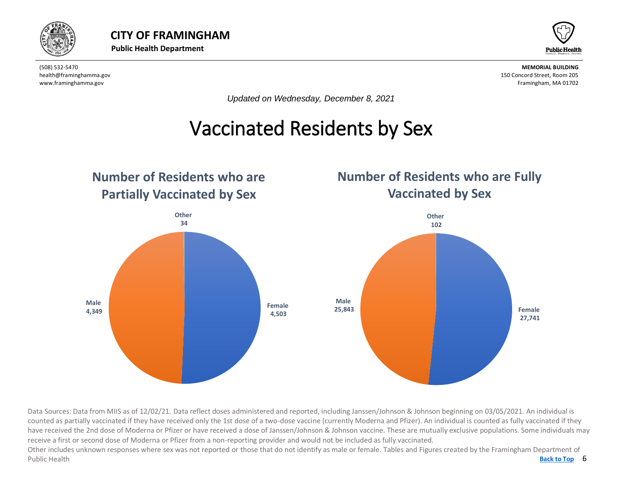



*Updated on Wednesday, December 8, 2021*

#### Vaccinated Residents by Sex  $\overline{a}$

<span id="page-5-0"></span>

Data Sources: Data from MIIS as of 12/02/21. Data reflect doses administered and reported, including Janssen/Johnson & Johnson beginning on 03/05/2021. An individual is counted as partially vaccinated if they have received only the 1st dose of a two-dose vaccine (currently Moderna and Pfizer). An individual is counted as fully vaccinated if they have received the 2nd dose of Moderna or Pfizer or have received a dose of Janssen/Johnson & Johnson vaccine. These are mutually exclusive populations. Some individuals may receive a first or second dose of Moderna or Pfizer from a non-reporting provider and would not be included as fully vaccinated.

Back to Top 6 Other includes unknown responses where sex was not reported or those that do not identify as male or female. Tables and Figures created by the Framingham Department of Public Health **[Back to Top](#page-1-0)**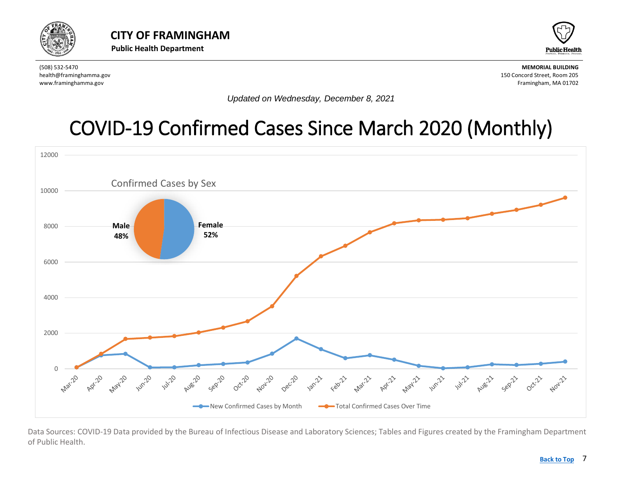<span id="page-6-0"></span>



*Updated on Wednesday, December 8, 2021*

# [COVID-19 Confirmed Cases Since March 2020](#page-6-0) (Monthly)



Data Sources: COVID-19 Data provided by the Bureau of Infectious Disease and Laboratory Sciences; Tables and Figures created by the Framingham Department of Public Health.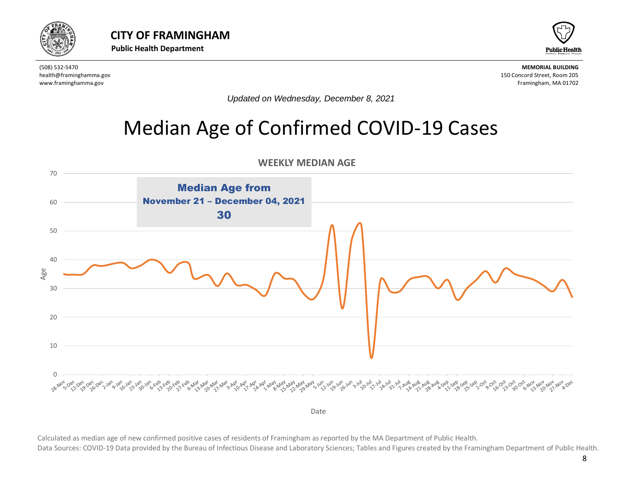<span id="page-7-0"></span>



*Updated on Wednesday, December 8, 2021*

# Median Age of Confirmed COVID-19 Cases



Calculated as median age of new confirmed positive cases of residents of Framingham as reported by the MA Department of Public Health.

Data Sources: COVID-19 Data provided by the Bureau of Infectious Disease and Laboratory Sciences; Tables and Figures created by the Framingham Department of Public Health.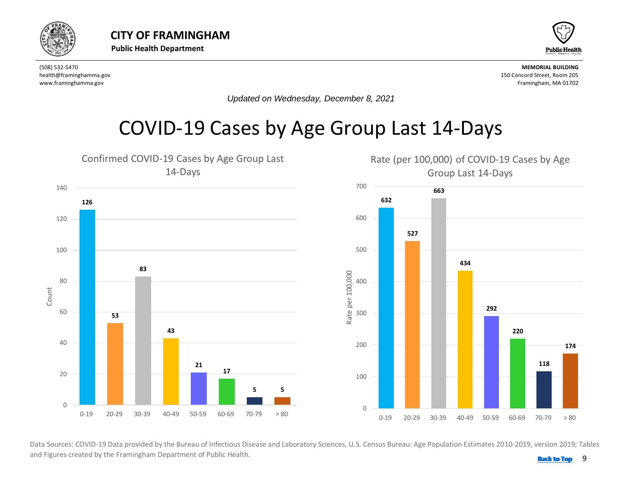<span id="page-8-0"></span>



*Updated on Wednesday, December 8, 2021*

### COVID-19 Cases by Age Group Last 14-Days



and Figures created by the Framingham Department of Public Health. **Back 10 and 1999 [Back to Top](#page-1-0)**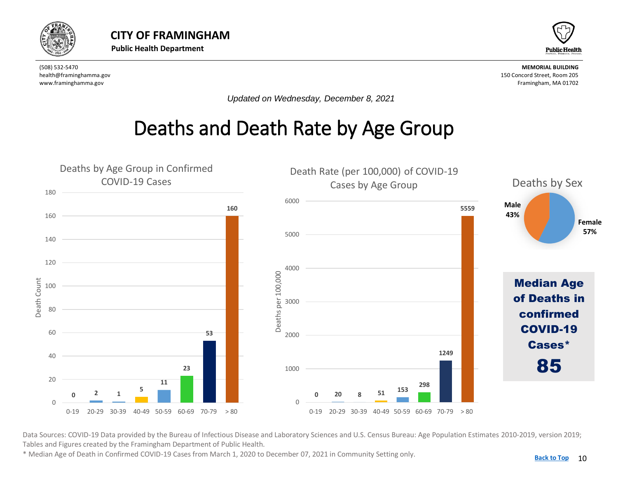<span id="page-9-0"></span>



*Updated on Wednesday, December 8, 2021*

# Deaths and Death Rate by Age Group



Data Sources: COVID-19 Data provided by the Bureau of Infectious Disease and Laboratory Sciences and U.S. Census Bureau: Age Population Estimates 2010-2019, version 2019; Tables and Figures created by the Framingham Department of Public Health.

\* Median Age of Death in Confirmed COVID-19 Cases from March 1, 2020 to December 07, 2021 in Community Setting only.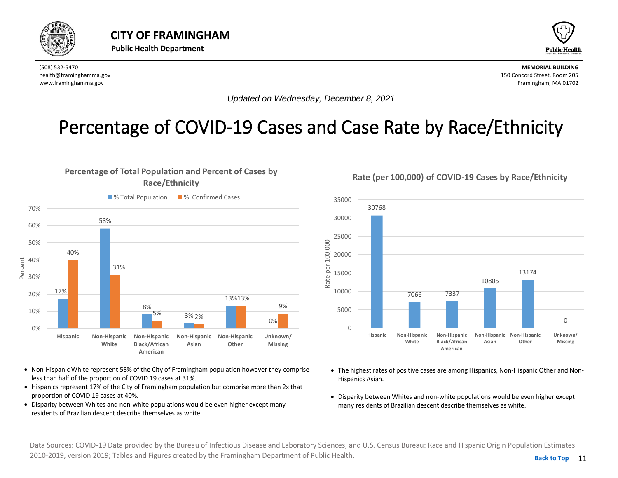<span id="page-10-0"></span>



*Updated on Wednesday, December 8, 2021*

### Percentage of COVID-19 Cases and Case Rate by Race/Ethnicity



- Non-Hispanic White represent 58% of the City of Framingham population however they comprise less than half of the proportion of COVID 19 cases at 31%.
- Hispanics represent 17% of the City of Framingham population but comprise more than 2x that proportion of COVID 19 cases at 40%.
- Disparity between Whites and non-white populations would be even higher except many residents of Brazilian descent describe themselves as white.

**Rate (per 100,000) of COVID-19 Cases by Race/Ethnicity**



- The highest rates of positive cases are among Hispanics, Non-Hispanic Other and Non-Hispanics Asian.
- Disparity between Whites and non-white populations would be even higher except many residents of Brazilian descent describe themselves as white.

Data Sources: COVID-19 Data provided by the Bureau of Infectious Disease and Laboratory Sciences; and U.S. Census Bureau: Race and Hispanic Origin Population Estimates 2010-2019, version 2019; Tables and Figures created by the Framingham Department of Public Health.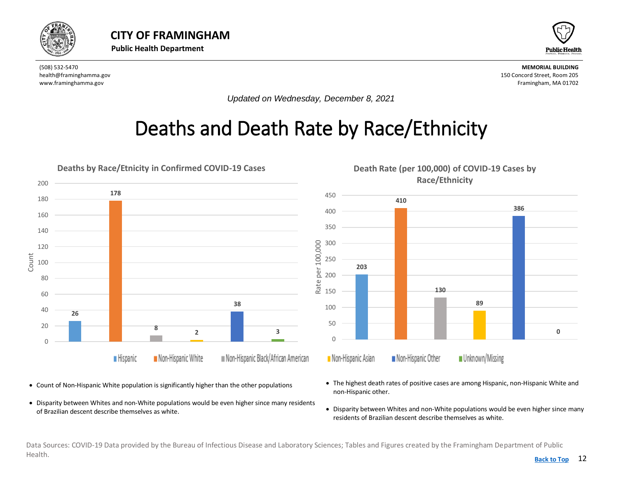<span id="page-11-0"></span>



*Updated on Wednesday, December 8, 2021*

# Deaths and Death Rate by Race/Ethnicity



- Count of Non-Hispanic White population is significantly higher than the other populations
- Disparity between Whites and non-White populations would be even higher since many residents of Brazilian descent describe themselves as white.
- The highest death rates of positive cases are among Hispanic, non-Hispanic White and non-Hispanic other.
- Disparity between Whites and non-White populations would be even higher since many residents of Brazilian descent describe themselves as white.

Data Sources: COVID-19 Data provided by the Bureau of Infectious Disease and Laboratory Sciences; Tables and Figures created by the Framingham Department of Public Health. **[Back to Top](#page-1-0)**